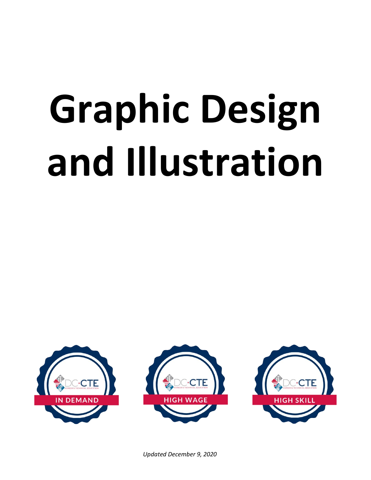# **Graphic Design and Illustration**

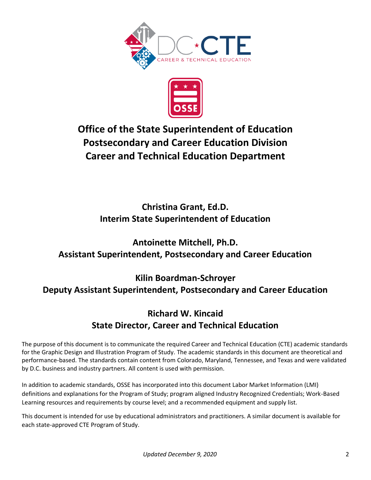



# **Office of the State Superintendent of Education Postsecondary and Career Education Division Career and Technical Education Department**

# **Christina Grant, Ed.D. Interim State Superintendent of Education**

# **Antoinette Mitchell, Ph.D. Assistant Superintendent, Postsecondary and Career Education**

# **Kilin Boardman-Schroyer Deputy Assistant Superintendent, Postsecondary and Career Education**

# **Richard W. Kincaid State Director, Career and Technical Education**

The purpose of this document is to communicate the required Career and Technical Education (CTE) academic standards for the Graphic Design and Illustration Program of Study. The academic standards in this document are theoretical and performance-based. The standards contain content from Colorado, Maryland, Tennessee, and Texas and were validated by D.C. business and industry partners. All content is used with permission.

In addition to academic standards, OSSE has incorporated into this document Labor Market Information (LMI) definitions and explanations for the Program of Study; program aligned Industry Recognized Credentials; Work-Based Learning resources and requirements by course level; and a recommended equipment and supply list.

This document is intended for use by educational administrators and practitioners. A similar document is available for each state-approved CTE Program of Study.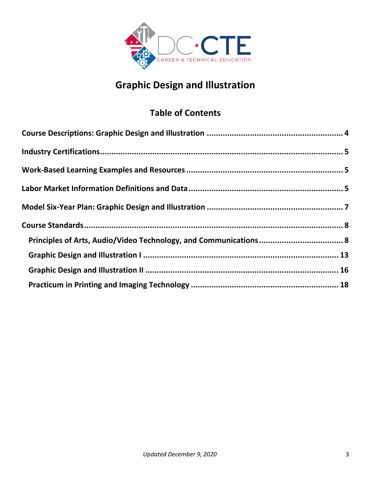

# **Graphic Design and Illustration**

# **Table of Contents**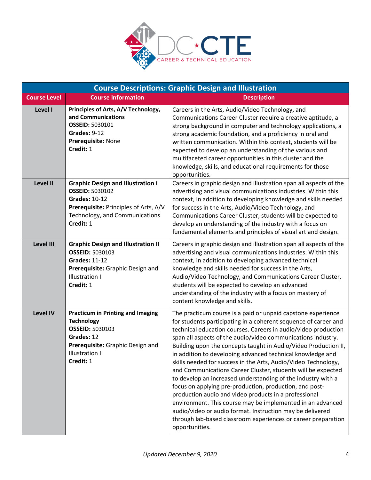

<span id="page-3-0"></span>

| <b>Course Descriptions: Graphic Design and Illustration</b> |                                                                                                                                                                                    |                                                                                                                                                                                                                                                                                                                                                                                                                                                                                                                                                                                                                                                                                                                                                                                                                                                                                                                                        |  |  |
|-------------------------------------------------------------|------------------------------------------------------------------------------------------------------------------------------------------------------------------------------------|----------------------------------------------------------------------------------------------------------------------------------------------------------------------------------------------------------------------------------------------------------------------------------------------------------------------------------------------------------------------------------------------------------------------------------------------------------------------------------------------------------------------------------------------------------------------------------------------------------------------------------------------------------------------------------------------------------------------------------------------------------------------------------------------------------------------------------------------------------------------------------------------------------------------------------------|--|--|
| <b>Course Level</b>                                         | <b>Course Information</b>                                                                                                                                                          | <b>Description</b>                                                                                                                                                                                                                                                                                                                                                                                                                                                                                                                                                                                                                                                                                                                                                                                                                                                                                                                     |  |  |
| <b>Level I</b>                                              | Principles of Arts, A/V Technology,<br>and Communications<br><b>OSSEID: 5030101</b><br>Grades: 9-12<br>Prerequisite: None<br>Credit: 1                                             | Careers in the Arts, Audio/Video Technology, and<br>Communications Career Cluster require a creative aptitude, a<br>strong background in computer and technology applications, a<br>strong academic foundation, and a proficiency in oral and<br>written communication. Within this context, students will be<br>expected to develop an understanding of the various and<br>multifaceted career opportunities in this cluster and the<br>knowledge, skills, and educational requirements for those<br>opportunities.                                                                                                                                                                                                                                                                                                                                                                                                                   |  |  |
| <b>Level II</b>                                             | <b>Graphic Design and Illustration I</b><br><b>OSSEID: 5030102</b><br><b>Grades: 10-12</b><br>Prerequisite: Principles of Arts, A/V<br>Technology, and Communications<br>Credit: 1 | Careers in graphic design and illustration span all aspects of the<br>advertising and visual communications industries. Within this<br>context, in addition to developing knowledge and skills needed<br>for success in the Arts, Audio/Video Technology, and<br>Communications Career Cluster, students will be expected to<br>develop an understanding of the industry with a focus on<br>fundamental elements and principles of visual art and design.                                                                                                                                                                                                                                                                                                                                                                                                                                                                              |  |  |
| <b>Level III</b>                                            | <b>Graphic Design and Illustration II</b><br><b>OSSEID: 5030103</b><br><b>Grades: 11-12</b><br>Prerequisite: Graphic Design and<br><b>Illustration I</b><br>Credit: 1              | Careers in graphic design and illustration span all aspects of the<br>advertising and visual communications industries. Within this<br>context, in addition to developing advanced technical<br>knowledge and skills needed for success in the Arts,<br>Audio/Video Technology, and Communications Career Cluster,<br>students will be expected to develop an advanced<br>understanding of the industry with a focus on mastery of<br>content knowledge and skills.                                                                                                                                                                                                                                                                                                                                                                                                                                                                    |  |  |
| <b>Level IV</b>                                             | <b>Practicum in Printing and Imaging</b><br><b>Technology</b><br><b>OSSEID: 5030103</b><br>Grades: 12<br>Prerequisite: Graphic Design and<br><b>Illustration II</b><br>Credit: 1   | The practicum course is a paid or unpaid capstone experience<br>for students participating in a coherent sequence of career and<br>technical education courses. Careers in audio/video production<br>span all aspects of the audio/video communications industry.<br>Building upon the concepts taught in Audio/Video Production II,<br>in addition to developing advanced technical knowledge and<br>skills needed for success in the Arts, Audio/Video Technology,<br>and Communications Career Cluster, students will be expected<br>to develop an increased understanding of the industry with a<br>focus on applying pre-production, production, and post-<br>production audio and video products in a professional<br>environment. This course may be implemented in an advanced<br>audio/video or audio format. Instruction may be delivered<br>through lab-based classroom experiences or career preparation<br>opportunities. |  |  |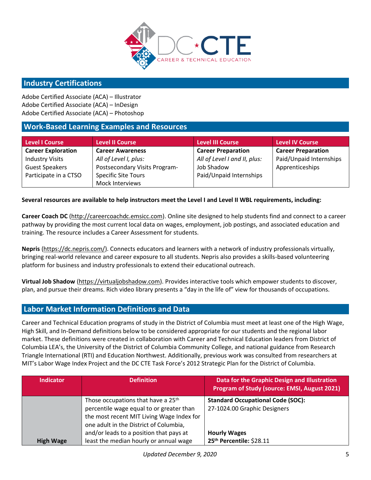

### <span id="page-4-0"></span>**Industry Certifications**

Adobe Certified Associate (ACA) – Illustrator Adobe Certified Associate (ACA) – InDesign Adobe Certified Associate (ACA) – Photoshop

## <span id="page-4-1"></span>**Work-Based Learning Examples and Resources**

| Level I Course            | <b>Level II Course</b>        | <b>Level III Course</b>      | <b>Level IV Course</b>    |
|---------------------------|-------------------------------|------------------------------|---------------------------|
| <b>Career Exploration</b> | <b>Career Awareness</b>       | <b>Career Preparation</b>    | <b>Career Preparation</b> |
| <b>Industry Visits</b>    | All of Level I, plus:         | All of Level I and II, plus: | Paid/Unpaid Internships   |
| <b>Guest Speakers</b>     | Postsecondary Visits Program- | Job Shadow                   | Apprenticeships           |
| Participate in a CTSO     | <b>Specific Site Tours</b>    | Paid/Unpaid Internships      |                           |
|                           | Mock Interviews               |                              |                           |

#### **Several resources are available to help instructors meet the Level I and Level II WBL requirements, including:**

**Career Coach DC** [\(http://careercoachdc.emsicc.com\)](http://careercoachdc.emsicc.com/). Online site designed to help students find and connect to a career pathway by providing the most current local data on wages, employment, job postings, and associated education and training. The resource includes a Career Assessment for students.

**Nepris** [\(https://dc.nepris.com/\)](https://dc.nepris.com/). Connects educators and learners with a network of industry professionals virtually, bringing real-world relevance and career exposure to all students. Nepris also provides a skills-based volunteering platform for business and industry professionals to extend their educational outreach.

**Virtual Job Shadow** [\(https://virtualjobshadow.com\)](https://virtualjobshadow.com/). Provides interactive tools which empower students to discover, plan, and pursue their dreams. Rich video library presents a "day in the life of" view for thousands of occupations.

#### <span id="page-4-2"></span>**Labor Market Information Definitions and Data**

Career and Technical Education programs of study in the District of Columbia must meet at least one of the High Wage, High Skill, and In-Demand definitions below to be considered appropriate for our students and the regional labor market. These definitions were created in collaboration with Career and Technical Education leaders from District of Columbia LEA's, the University of the District of Columbia Community College, and national guidance from Research Triangle International (RTI) and Education Northwest. Additionally, previous work was consulted from researchers at MIT's Labor Wage Index Project and the DC CTE Task Force's 2012 Strategic Plan for the District of Columbia.

| <b>Indicator</b> | <b>Definition</b>                              | Data for the Graphic Design and Illustration<br>Program of Study (source: EMSI, August 2021) |  |  |
|------------------|------------------------------------------------|----------------------------------------------------------------------------------------------|--|--|
|                  | Those occupations that have a 25 <sup>th</sup> | <b>Standard Occupational Code (SOC):</b>                                                     |  |  |
|                  | percentile wage equal to or greater than       | 27-1024.00 Graphic Designers                                                                 |  |  |
|                  | the most recent MIT Living Wage Index for      |                                                                                              |  |  |
|                  | one adult in the District of Columbia,         |                                                                                              |  |  |
|                  | and/or leads to a position that pays at        | <b>Hourly Wages</b>                                                                          |  |  |
| <b>High Wage</b> | least the median hourly or annual wage         | 25 <sup>th</sup> Percentile: \$28.11                                                         |  |  |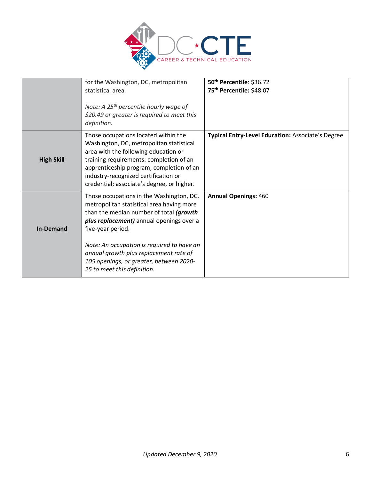

|                   | for the Washington, DC, metropolitan                                                                                                                                                                                                                                                                                                                                | 50th Percentile: \$36.72                          |  |  |  |
|-------------------|---------------------------------------------------------------------------------------------------------------------------------------------------------------------------------------------------------------------------------------------------------------------------------------------------------------------------------------------------------------------|---------------------------------------------------|--|--|--|
|                   | statistical area.                                                                                                                                                                                                                                                                                                                                                   | 75th Percentile: \$48.07                          |  |  |  |
|                   | Note: A 25 <sup>th</sup> percentile hourly wage of<br>\$20.49 or greater is required to meet this<br>definition.                                                                                                                                                                                                                                                    |                                                   |  |  |  |
| <b>High Skill</b> | Those occupations located within the<br>Washington, DC, metropolitan statistical<br>area with the following education or<br>training requirements: completion of an<br>apprenticeship program; completion of an<br>industry-recognized certification or<br>credential; associate's degree, or higher.                                                               | Typical Entry-Level Education: Associate's Degree |  |  |  |
| <b>In-Demand</b>  | Those occupations in the Washington, DC,<br>metropolitan statistical area having more<br>than the median number of total (growth<br>plus replacement) annual openings over a<br>five-year period.<br>Note: An occupation is required to have an<br>annual growth plus replacement rate of<br>105 openings, or greater, between 2020-<br>25 to meet this definition. | <b>Annual Openings: 460</b>                       |  |  |  |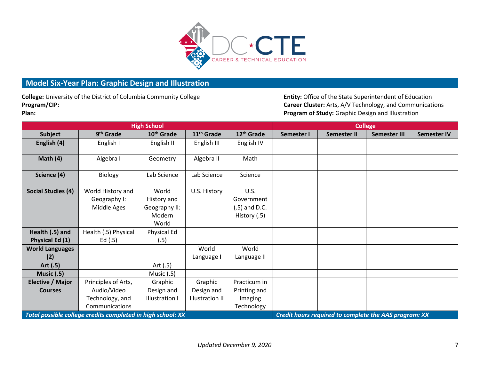

## **Model Six-Year Plan: Graphic Design and Illustration**

College: University of the District of Columbia Community College **Entity: Office of the State Superintendent of Education Program/CIP: Career Cluster:** Arts, A/V Technology, and Communications

**Plan: Program of Study:** Graphic Design and Illustration

<span id="page-6-0"></span>

| <b>High School</b>                                          |                       |                        |                                                       | <b>College</b>         |            |                    |                     |                    |
|-------------------------------------------------------------|-----------------------|------------------------|-------------------------------------------------------|------------------------|------------|--------------------|---------------------|--------------------|
| <b>Subject</b>                                              | 9 <sup>th</sup> Grade | 10 <sup>th</sup> Grade | 11 <sup>th</sup> Grade                                | 12 <sup>th</sup> Grade | Semester I | <b>Semester II</b> | <b>Semester III</b> | <b>Semester IV</b> |
| English (4)                                                 | English I             | English II             | English III                                           | English IV             |            |                    |                     |                    |
|                                                             |                       |                        |                                                       |                        |            |                    |                     |                    |
| Math $(4)$                                                  | Algebra I             | Geometry               | Algebra II                                            | Math                   |            |                    |                     |                    |
|                                                             |                       |                        |                                                       |                        |            |                    |                     |                    |
| Science (4)                                                 | Biology               | Lab Science            | Lab Science                                           | Science                |            |                    |                     |                    |
|                                                             |                       |                        |                                                       |                        |            |                    |                     |                    |
| <b>Social Studies (4)</b>                                   | World History and     | World                  | U.S. History                                          | <b>U.S.</b>            |            |                    |                     |                    |
|                                                             | Geography I:          | History and            |                                                       | Government             |            |                    |                     |                    |
|                                                             | Middle Ages           | Geography II:          |                                                       | $(0.5)$ and D.C.       |            |                    |                     |                    |
|                                                             |                       | Modern                 |                                                       | History (.5)           |            |                    |                     |                    |
|                                                             |                       | World                  |                                                       |                        |            |                    |                     |                    |
| Health (.5) and                                             | Health (.5) Physical  | Physical Ed            |                                                       |                        |            |                    |                     |                    |
| Physical Ed (1)                                             | Ed $(.5)$             | (.5)                   |                                                       |                        |            |                    |                     |                    |
| <b>World Languages</b>                                      |                       |                        | World                                                 | World                  |            |                    |                     |                    |
| (2)                                                         |                       |                        | Language I                                            | Language II            |            |                    |                     |                    |
| Art (.5)                                                    |                       | Art (.5)               |                                                       |                        |            |                    |                     |                    |
| <b>Music (.5)</b>                                           |                       | Music (.5)             |                                                       |                        |            |                    |                     |                    |
| Elective / Major                                            | Principles of Arts,   | Graphic                | Graphic                                               | Practicum in           |            |                    |                     |                    |
| <b>Courses</b>                                              | Audio/Video           | Design and             | Design and                                            | Printing and           |            |                    |                     |                    |
|                                                             | Technology, and       | <b>Illustration I</b>  | Illustration II                                       | Imaging                |            |                    |                     |                    |
|                                                             | Communications        |                        |                                                       | Technology             |            |                    |                     |                    |
| Total possible college credits completed in high school: XX |                       |                        | Credit hours required to complete the AAS program: XX |                        |            |                    |                     |                    |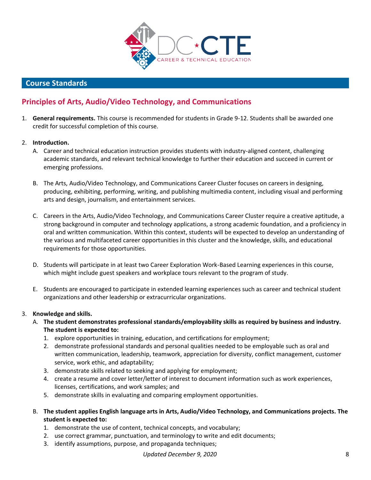

## <span id="page-7-0"></span> **Course Standards**

## <span id="page-7-1"></span>**Principles of Arts, Audio/Video Technology, and Communications**

1. **General requirements.** This course is recommended for students in Grade 9-12. Students shall be awarded one credit for successful completion of this course.

#### 2. **Introduction.**

- A. Career and technical education instruction provides students with industry-aligned content, challenging academic standards, and relevant technical knowledge to further their education and succeed in current or emerging professions.
- B. The Arts, Audio/Video Technology, and Communications Career Cluster focuses on careers in designing, producing, exhibiting, performing, writing, and publishing multimedia content, including visual and performing arts and design, journalism, and entertainment services.
- C. Careers in the Arts, Audio/Video Technology, and Communications Career Cluster require a creative aptitude, a strong background in computer and technology applications, a strong academic foundation, and a proficiency in oral and written communication. Within this context, students will be expected to develop an understanding of the various and multifaceted career opportunities in this cluster and the knowledge, skills, and educational requirements for those opportunities.
- D. Students will participate in at least two Career Exploration Work-Based Learning experiences in this course, which might include guest speakers and workplace tours relevant to the program of study.
- E. Students are encouraged to participate in extended learning experiences such as career and technical student organizations and other leadership or extracurricular organizations.

#### 3. **Knowledge and skills.**

- A. **The student demonstrates professional standards/employability skills as required by business and industry. The student is expected to:**
	- 1. explore opportunities in training, education, and certifications for employment;
	- 2. demonstrate professional standards and personal qualities needed to be employable such as oral and written communication, leadership, teamwork, appreciation for diversity, conflict management, customer service, work ethic, and adaptability;
	- 3. demonstrate skills related to seeking and applying for employment;
	- 4. create a resume and cover letter/letter of interest to document information such as work experiences, licenses, certifications, and work samples; and
	- 5. demonstrate skills in evaluating and comparing employment opportunities.
- B. **The student applies English language arts in Arts, Audio/Video Technology, and Communications projects. The student is expected to:** 
	- 1. demonstrate the use of content, technical concepts, and vocabulary;
	- 2. use correct grammar, punctuation, and terminology to write and edit documents;
	- 3. identify assumptions, purpose, and propaganda techniques;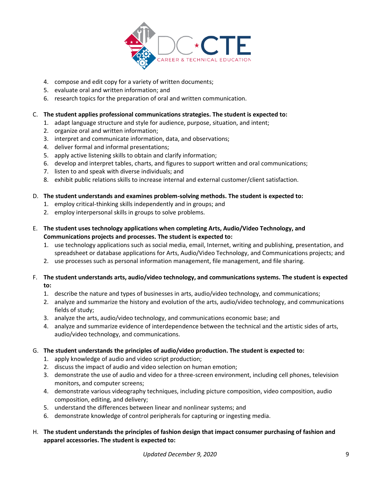

- 4. compose and edit copy for a variety of written documents;
- 5. evaluate oral and written information; and
- 6. research topics for the preparation of oral and written communication.

#### C. **The student applies professional communications strategies. The student is expected to:**

- 1. adapt language structure and style for audience, purpose, situation, and intent;
- 2. organize oral and written information;
- 3. interpret and communicate information, data, and observations;
- 4. deliver formal and informal presentations;
- 5. apply active listening skills to obtain and clarify information;
- 6. develop and interpret tables, charts, and figures to support written and oral communications;
- 7. listen to and speak with diverse individuals; and
- 8. exhibit public relations skills to increase internal and external customer/client satisfaction.

#### D. **The student understands and examines problem-solving methods. The student is expected to:**

- 1. employ critical-thinking skills independently and in groups; and
- 2. employ interpersonal skills in groups to solve problems.
- E. **The student uses technology applications when completing Arts, Audio/Video Technology, and Communications projects and processes. The student is expected to:** 
	- 1. use technology applications such as social media, email, Internet, writing and publishing, presentation, and spreadsheet or database applications for Arts, Audio/Video Technology, and Communications projects; and
	- 2. use processes such as personal information management, file management, and file sharing.
- F. **The student understands arts, audio/video technology, and communications systems. The student is expected to:** 
	- 1. describe the nature and types of businesses in arts, audio/video technology, and communications;
	- 2. analyze and summarize the history and evolution of the arts, audio/video technology, and communications fields of study;
	- 3. analyze the arts, audio/video technology, and communications economic base; and
	- 4. analyze and summarize evidence of interdependence between the technical and the artistic sides of arts, audio/video technology, and communications.

#### G. **The student understands the principles of audio/video production. The student is expected to:**

- 1. apply knowledge of audio and video script production;
- 2. discuss the impact of audio and video selection on human emotion;
- 3. demonstrate the use of audio and video for a three-screen environment, including cell phones, television monitors, and computer screens;
- 4. demonstrate various videography techniques, including picture composition, video composition, audio composition, editing, and delivery;
- 5. understand the differences between linear and nonlinear systems; and
- 6. demonstrate knowledge of control peripherals for capturing or ingesting media.
- H. **The student understands the principles of fashion design that impact consumer purchasing of fashion and apparel accessories. The student is expected to:**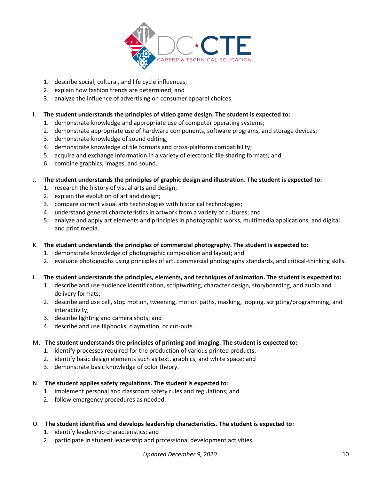

- 1. describe social, cultural, and life cycle influences;
- 2. explain how fashion trends are determined; and
- 3. analyze the influence of advertising on consumer apparel choices.

#### I. **The student understands the principles of video game design. The student is expected to:**

- 1. demonstrate knowledge and appropriate use of computer operating systems;
- 2. demonstrate appropriate use of hardware components, software programs, and storage devices;
- 3. demonstrate knowledge of sound editing;
- 4. demonstrate knowledge of file formats and cross-platform compatibility;
- 5. acquire and exchange information in a variety of electronic file sharing formats; and
- 6. combine graphics, images, and sound.
- J. **The student understands the principles of graphic design and illustration. The student is expected to:** 
	- 1. research the history of visual arts and design;
	- 2. explain the evolution of art and design;
	- 3. compare current visual arts technologies with historical technologies;
	- 4. understand general characteristics in artwork from a variety of cultures; and
	- 5. analyze and apply art elements and principles in photographic works, multimedia applications, and digital and print media.
- K. **The student understands the principles of commercial photography. The student is expected to:** 
	- 1. demonstrate knowledge of photographic composition and layout; and
	- 2. evaluate photographs using principles of art, commercial photography standards, and critical-thinking skills.
- L. **The student understands the principles, elements, and techniques of animation. The student is expected to:**
	- 1. describe and use audience identification, scriptwriting, character design, storyboarding, and audio and delivery formats;
	- 2. describe and use cell, stop motion, tweening, motion paths, masking, looping, scripting/programming, and interactivity;
	- 3. describe lighting and camera shots; and
	- 4. describe and use flipbooks, claymation, or cut-outs.

#### M. **The student understands the principles of printing and imaging. The student is expected to:**

- 1. identify processes required for the production of various printed products;
- 2. identify basic design elements such as text, graphics, and white space; and
- 3. demonstrate basic knowledge of color theory.

#### N. **The student applies safety regulations. The student is expected to:**

- 1. implement personal and classroom safety rules and regulations; and
- 2. follow emergency procedures as needed.
- O. **The student identifies and develops leadership characteristics. The student is expected to:** 
	- 1. identify leadership characteristics; and
	- 2. participate in student leadership and professional development activities.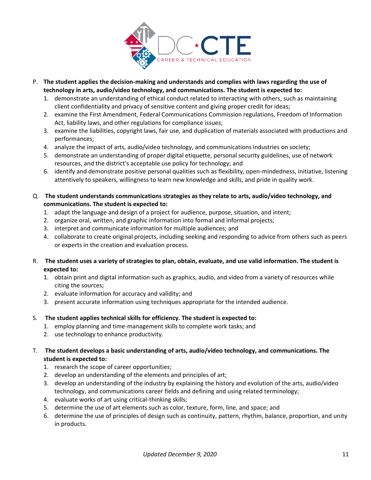

- P. **The student applies the decision-making and understands and complies with laws regarding the use of technology in arts, audio/video technology, and communications. The student is expected to:** 
	- 1. demonstrate an understanding of ethical conduct related to interacting with others, such as maintaining client confidentiality and privacy of sensitive content and giving proper credit for ideas;
	- 2. examine the First Amendment, Federal Communications Commission regulations, Freedom of Information Act, liability laws, and other regulations for compliance issues;
	- 3. examine the liabilities, copyright laws, fair use, and duplication of materials associated with productions and performances;
	- 4. analyze the impact of arts, audio/video technology, and communications industries on society;
	- 5. demonstrate an understanding of proper digital etiquette, personal security guidelines, use of network resources, and the district's acceptable use policy for technology; and
	- 6. identify and demonstrate positive personal qualities such as flexibility, open-mindedness, initiative, listening attentively to speakers, willingness to learn new knowledge and skills, and pride in quality work.
- Q. **The student understands communications strategies as they relate to arts, audio/video technology, and communications. The student is expected to:** 
	- 1. adapt the language and design of a project for audience, purpose, situation, and intent;
	- 2. organize oral, written, and graphic information into formal and informal projects;
	- 3. interpret and communicate information for multiple audiences; and
	- 4. collaborate to create original projects, including seeking and responding to advice from others such as peers or experts in the creation and evaluation process.
- R. **The student uses a variety of strategies to plan, obtain, evaluate, and use valid information. The student is expected to:**
	- 1. obtain print and digital information such as graphics, audio, and video from a variety of resources while citing the sources;
	- 2. evaluate information for accuracy and validity; and
	- 3. present accurate information using techniques appropriate for the intended audience.
- S. **The student applies technical skills for efficiency. The student is expected to:** 
	- 1. employ planning and time-management skills to complete work tasks; and
	- 2. use technology to enhance productivity.

T. **The student develops a basic understanding of arts, audio/video technology, and communications. The student is expected to:** 

- 1. research the scope of career opportunities;
- 2. develop an understanding of the elements and principles of art;
- 3. develop an understanding of the industry by explaining the history and evolution of the arts, audio/video technology, and communications career fields and defining and using related terminology;
- 4. evaluate works of art using critical-thinking skills;
- 5. determine the use of art elements such as color, texture, form, line, and space; and
- 6. determine the use of principles of design such as continuity, pattern, rhythm, balance, proportion, and unity in products.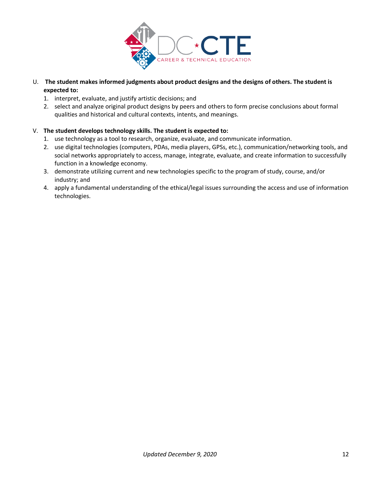

- U. **The student makes informed judgments about product designs and the designs of others. The student is expected to:** 
	- 1. interpret, evaluate, and justify artistic decisions; and
	- 2. select and analyze original product designs by peers and others to form precise conclusions about formal qualities and historical and cultural contexts, intents, and meanings.

#### V. **The student develops technology skills. The student is expected to:**

- 1. use technology as a tool to research, organize, evaluate, and communicate information.
- 2. use digital technologies (computers, PDAs, media players, GPSs, etc.), communication/networking tools, and social networks appropriately to access, manage, integrate, evaluate, and create information to successfully function in a knowledge economy.
- 3. demonstrate utilizing current and new technologies specific to the program of study, course, and/or industry; and
- 4. apply a fundamental understanding of the ethical/legal issues surrounding the access and use of information technologies.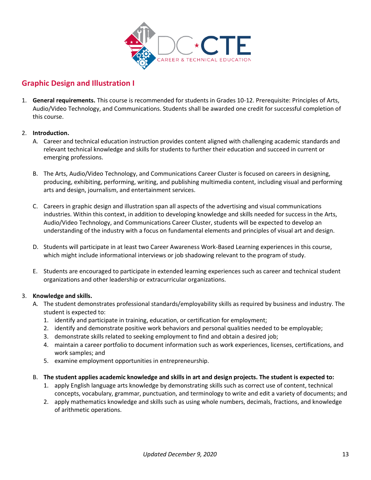

## <span id="page-12-0"></span>**Graphic Design and Illustration I**

1. **General requirements.** This course is recommended for students in Grades 10-12. Prerequisite: Principles of Arts, Audio/Video Technology, and Communications. Students shall be awarded one credit for successful completion of this course.

#### 2. **Introduction.**

- A. Career and technical education instruction provides content aligned with challenging academic standards and relevant technical knowledge and skills for students to further their education and succeed in current or emerging professions.
- B. The Arts, Audio/Video Technology, and Communications Career Cluster is focused on careers in designing, producing, exhibiting, performing, writing, and publishing multimedia content, including visual and performing arts and design, journalism, and entertainment services.
- C. Careers in graphic design and illustration span all aspects of the advertising and visual communications industries. Within this context, in addition to developing knowledge and skills needed for success in the Arts, Audio/Video Technology, and Communications Career Cluster, students will be expected to develop an understanding of the industry with a focus on fundamental elements and principles of visual art and design.
- D. Students will participate in at least two Career Awareness Work-Based Learning experiences in this course, which might include informational interviews or job shadowing relevant to the program of study.
- E. Students are encouraged to participate in extended learning experiences such as career and technical student organizations and other leadership or extracurricular organizations.

#### 3. **Knowledge and skills.**

- A. The student demonstrates professional standards/employability skills as required by business and industry. The student is expected to:
	- 1. identify and participate in training, education, or certification for employment;
	- 2. identify and demonstrate positive work behaviors and personal qualities needed to be employable;
	- 3. demonstrate skills related to seeking employment to find and obtain a desired job;
	- 4. maintain a career portfolio to document information such as work experiences, licenses, certifications, and work samples; and
	- 5. examine employment opportunities in entrepreneurship.

#### B. **The student applies academic knowledge and skills in art and design projects. The student is expected to:**

- 1. apply English language arts knowledge by demonstrating skills such as correct use of content, technical concepts, vocabulary, grammar, punctuation, and terminology to write and edit a variety of documents; and
- 2. apply mathematics knowledge and skills such as using whole numbers, decimals, fractions, and knowledge of arithmetic operations.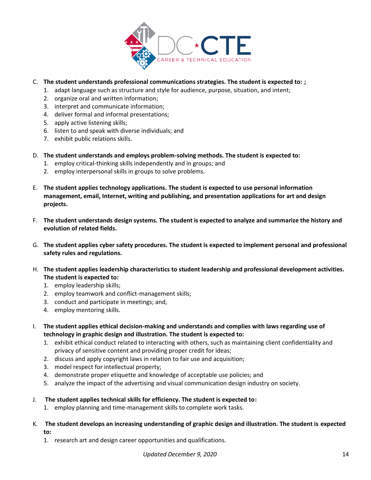

#### C. **The student understands professional communications strategies. The student is expected to: ;**

- 1. adapt language such as structure and style for audience, purpose, situation, and intent;
- 2. organize oral and written information;
- 3. interpret and communicate information;
- 4. deliver formal and informal presentations;
- 5. apply active listening skills;
- 6. listen to and speak with diverse individuals; and
- 7. exhibit public relations skills.
- D. **The student understands and employs problem-solving methods. The student is expected to:** 
	- 1. employ critical-thinking skills independently and in groups; and
	- 2. employ interpersonal skills in groups to solve problems.
- E. **The student applies technology applications. The student is expected to use personal information management, email, Internet, writing and publishing, and presentation applications for art and design projects.**
- F. **The student understands design systems. The student is expected to analyze and summarize the history and evolution of related fields.**
- G. **The student applies cyber safety procedures. The student is expected to implement personal and professional safety rules and regulations.**
- H. **The student applies leadership characteristics to student leadership and professional development activities. The student is expected to:** 
	- 1. employ leadership skills;
	- 2. employ teamwork and conflict-management skills;
	- 3. conduct and participate in meetings; and,
	- 4. employ mentoring skills.
- I. **The student applies ethical decision-making and understands and complies with laws regarding use of technology in graphic design and illustration. The student is expected to:** 
	- 1. exhibit ethical conduct related to interacting with others, such as maintaining client confidentiality and privacy of sensitive content and providing proper credit for ideas;
	- 2. discuss and apply copyright laws in relation to fair use and acquisition;
	- 3. model respect for intellectual property;
	- 4. demonstrate proper etiquette and knowledge of acceptable use policies; and
	- 5. analyze the impact of the advertising and visual communication design industry on society.
- J. **The student applies technical skills for efficiency. The student is expected to:** 
	- 1. employ planning and time-management skills to complete work tasks.
- K. **The student develops an increasing understanding of graphic design and illustration. The student is expected to:** 
	- 1. research art and design career opportunities and qualifications.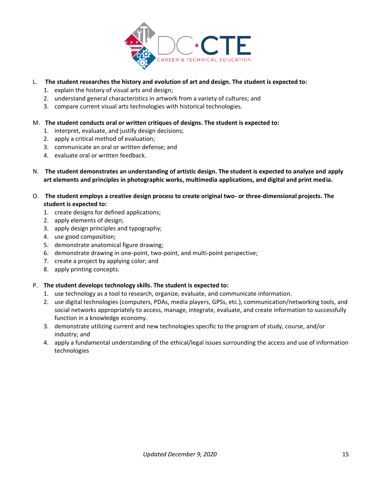

#### L. **The student researches the history and evolution of art and design. The student is expected to:**

- 1. explain the history of visual arts and design;
- 2. understand general characteristics in artwork from a variety of cultures; and
- 3. compare current visual arts technologies with historical technologies.

#### M. **The student conducts oral or written critiques of designs. The student is expected to:**

- 1. interpret, evaluate, and justify design decisions;
- 2. apply a critical method of evaluation;
- 3. communicate an oral or written defense; and
- 4. evaluate oral or written feedback.
- N. **The student demonstrates an understanding of artistic design. The student is expected to analyze and apply art elements and principles in photographic works, multimedia applications, and digital and print media.**
- O. **The student employs a creative design process to create original two- or three-dimensional projects. The student is expected to:** 
	- 1. create designs for defined applications;
	- 2. apply elements of design;
	- 3. apply design principles and typography;
	- 4. use good composition;
	- 5. demonstrate anatomical figure drawing;
	- 6. demonstrate drawing in one-point, two-point, and multi-point perspective;
	- 7. create a project by applying color; and
	- 8. apply printing concepts.

#### P. **The student develops technology skills. The student is expected to:**

- 1. use technology as a tool to research, organize, evaluate, and communicate information.
- 2. use digital technologies (computers, PDAs, media players, GPSs, etc.), communication/networking tools, and social networks appropriately to access, manage, integrate, evaluate, and create information to successfully function in a knowledge economy.
- 3. demonstrate utilizing current and new technologies specific to the program of study, course, and/or industry; and
- 4. apply a fundamental understanding of the ethical/legal issues surrounding the access and use of information technologies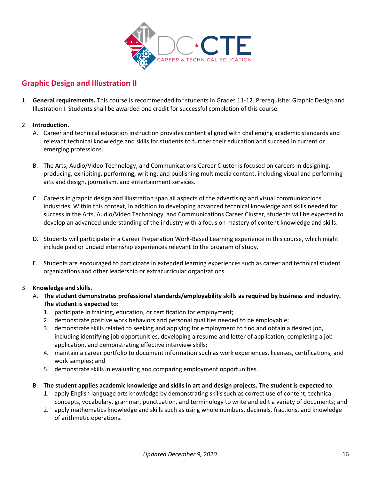

## <span id="page-15-0"></span>**Graphic Design and Illustration II**

1. **General requirements.** This course is recommended for students in Grades 11-12. Prerequisite: Graphic Design and Illustration I. Students shall be awarded one credit for successful completion of this course.

#### 2. **Introduction.**

- A. Career and technical education instruction provides content aligned with challenging academic standards and relevant technical knowledge and skills for students to further their education and succeed in current or emerging professions.
- B. The Arts, Audio/Video Technology, and Communications Career Cluster is focused on careers in designing, producing, exhibiting, performing, writing, and publishing multimedia content, including visual and performing arts and design, journalism, and entertainment services.
- C. Careers in graphic design and illustration span all aspects of the advertising and visual communications industries. Within this context, in addition to developing advanced technical knowledge and skills needed for success in the Arts, Audio/Video Technology, and Communications Career Cluster, students will be expected to develop an advanced understanding of the industry with a focus on mastery of content knowledge and skills.
- D. Students will participate in a Career Preparation Work-Based Learning experience in this course, which might include paid or unpaid internship experiences relevant to the program of study.
- E. Students are encouraged to participate in extended learning experiences such as career and technical student organizations and other leadership or extracurricular organizations.

#### 3. **Knowledge and skills.**

- A. **The student demonstrates professional standards/employability skills as required by business and industry. The student is expected to:** 
	- 1. participate in training, education, or certification for employment;
	- 2. demonstrate positive work behaviors and personal qualities needed to be employable;
	- 3. demonstrate skills related to seeking and applying for employment to find and obtain a desired job, including identifying job opportunities, developing a resume and letter of application, completing a job application, and demonstrating effective interview skills;
	- 4. maintain a career portfolio to document information such as work experiences, licenses, certifications, and work samples; and
	- 5. demonstrate skills in evaluating and comparing employment opportunities.
- B. **The student applies academic knowledge and skills in art and design projects. The student is expected to:** 
	- 1. apply English language arts knowledge by demonstrating skills such as correct use of content, technical concepts, vocabulary, grammar, punctuation, and terminology to write and edit a variety of documents; and
	- 2. apply mathematics knowledge and skills such as using whole numbers, decimals, fractions, and knowledge of arithmetic operations.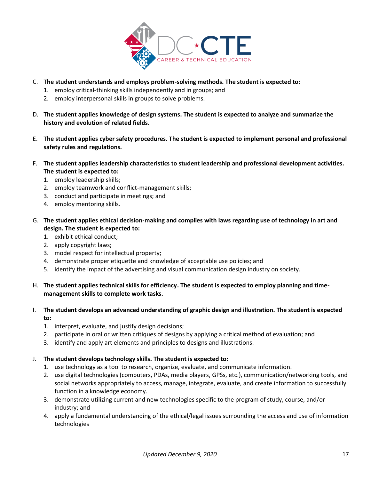

- C. **The student understands and employs problem-solving methods. The student is expected to:** 
	- 1. employ critical-thinking skills independently and in groups; and
	- 2. employ interpersonal skills in groups to solve problems.
- D. **The student applies knowledge of design systems. The student is expected to analyze and summarize the history and evolution of related fields.**
- E. **The student applies cyber safety procedures. The student is expected to implement personal and professional safety rules and regulations.**
- F. **The student applies leadership characteristics to student leadership and professional development activities. The student is expected to:** 
	- 1. employ leadership skills;
	- 2. employ teamwork and conflict-management skills;
	- 3. conduct and participate in meetings; and
	- 4. employ mentoring skills.
- G. **The student applies ethical decision-making and complies with laws regarding use of technology in art and design. The student is expected to:** 
	- 1. exhibit ethical conduct;
	- 2. apply copyright laws;
	- 3. model respect for intellectual property;
	- 4. demonstrate proper etiquette and knowledge of acceptable use policies; and
	- 5. identify the impact of the advertising and visual communication design industry on society.

#### H. **The student applies technical skills for efficiency. The student is expected to employ planning and timemanagement skills to complete work tasks.**

#### I. **The student develops an advanced understanding of graphic design and illustration. The student is expected to:**

- 1. interpret, evaluate, and justify design decisions;
- 2. participate in oral or written critiques of designs by applying a critical method of evaluation; and
- 3. identify and apply art elements and principles to designs and illustrations.

#### J. **The student develops technology skills. The student is expected to:**

- 1. use technology as a tool to research, organize, evaluate, and communicate information.
- 2. use digital technologies (computers, PDAs, media players, GPSs, etc.), communication/networking tools, and social networks appropriately to access, manage, integrate, evaluate, and create information to successfully function in a knowledge economy.
- 3. demonstrate utilizing current and new technologies specific to the program of study, course, and/or industry; and
- 4. apply a fundamental understanding of the ethical/legal issues surrounding the access and use of information technologies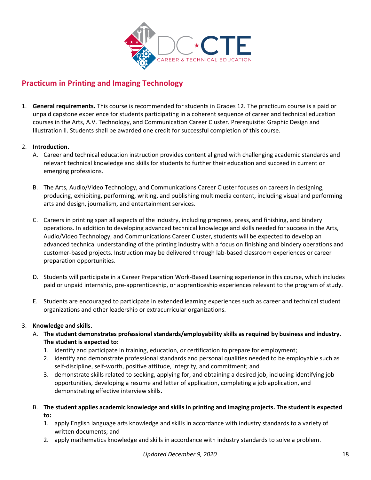

## <span id="page-17-0"></span>**Practicum in Printing and Imaging Technology**

1. **General requirements.** This course is recommended for students in Grades 12. The practicum course is a paid or unpaid capstone experience for students participating in a coherent sequence of career and technical education courses in the Arts, A.V. Technology, and Communication Career Cluster. Prerequisite: Graphic Design and Illustration II. Students shall be awarded one credit for successful completion of this course.

#### 2. **Introduction.**

- A. Career and technical education instruction provides content aligned with challenging academic standards and relevant technical knowledge and skills for students to further their education and succeed in current or emerging professions.
- B. The Arts, Audio/Video Technology, and Communications Career Cluster focuses on careers in designing, producing, exhibiting, performing, writing, and publishing multimedia content, including visual and performing arts and design, journalism, and entertainment services.
- C. Careers in printing span all aspects of the industry, including prepress, press, and finishing, and bindery operations. In addition to developing advanced technical knowledge and skills needed for success in the Arts, Audio/Video Technology, and Communications Career Cluster, students will be expected to develop an advanced technical understanding of the printing industry with a focus on finishing and bindery operations and customer-based projects. Instruction may be delivered through lab-based classroom experiences or career preparation opportunities.
- D. Students will participate in a Career Preparation Work-Based Learning experience in this course, which includes paid or unpaid internship, pre-apprenticeship, or apprenticeship experiences relevant to the program of study.
- E. Students are encouraged to participate in extended learning experiences such as career and technical student organizations and other leadership or extracurricular organizations.

#### 3. **Knowledge and skills.**

- A. **The student demonstrates professional standards/employability skills as required by business and industry. The student is expected to:** 
	- 1. identify and participate in training, education, or certification to prepare for employment;
	- 2. identify and demonstrate professional standards and personal qualities needed to be employable such as self-discipline, self-worth, positive attitude, integrity, and commitment; and
	- 3. demonstrate skills related to seeking, applying for, and obtaining a desired job, including identifying job opportunities, developing a resume and letter of application, completing a job application, and demonstrating effective interview skills.
- B. **The student applies academic knowledge and skills in printing and imaging projects. The student is expected to:** 
	- 1. apply English language arts knowledge and skills in accordance with industry standards to a variety of written documents; and
	- 2. apply mathematics knowledge and skills in accordance with industry standards to solve a problem.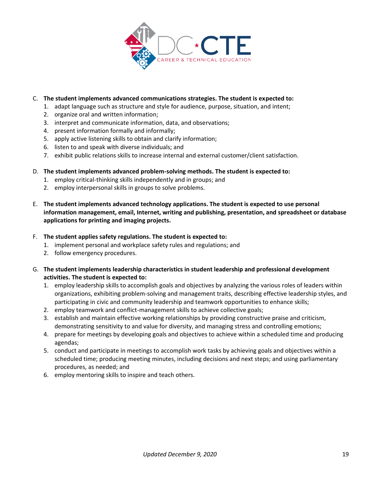

#### C. **The student implements advanced communications strategies. The student is expected to:**

- 1. adapt language such as structure and style for audience, purpose, situation, and intent;
- 2. organize oral and written information;
- 3. interpret and communicate information, data, and observations;
- 4. present information formally and informally;
- 5. apply active listening skills to obtain and clarify information;
- 6. listen to and speak with diverse individuals; and
- 7. exhibit public relations skills to increase internal and external customer/client satisfaction.
- D. **The student implements advanced problem-solving methods. The student is expected to:** 
	- 1. employ critical-thinking skills independently and in groups; and
	- 2. employ interpersonal skills in groups to solve problems.
- E. **The student implements advanced technology applications. The student is expected to use personal information management, email, Internet, writing and publishing, presentation, and spreadsheet or database applications for printing and imaging projects.**
- F. **The student applies safety regulations. The student is expected to:** 
	- 1. implement personal and workplace safety rules and regulations; and
	- 2. follow emergency procedures.
- G. **The student implements leadership characteristics in student leadership and professional development activities. The student is expected to:** 
	- 1. employ leadership skills to accomplish goals and objectives by analyzing the various roles of leaders within organizations, exhibiting problem-solving and management traits, describing effective leadership styles, and participating in civic and community leadership and teamwork opportunities to enhance skills;
	- 2. employ teamwork and conflict-management skills to achieve collective goals;
	- 3. establish and maintain effective working relationships by providing constructive praise and criticism, demonstrating sensitivity to and value for diversity, and managing stress and controlling emotions;
	- 4. prepare for meetings by developing goals and objectives to achieve within a scheduled time and producing agendas;
	- 5. conduct and participate in meetings to accomplish work tasks by achieving goals and objectives within a scheduled time; producing meeting minutes, including decisions and next steps; and using parliamentary procedures, as needed; and
	- 6. employ mentoring skills to inspire and teach others.